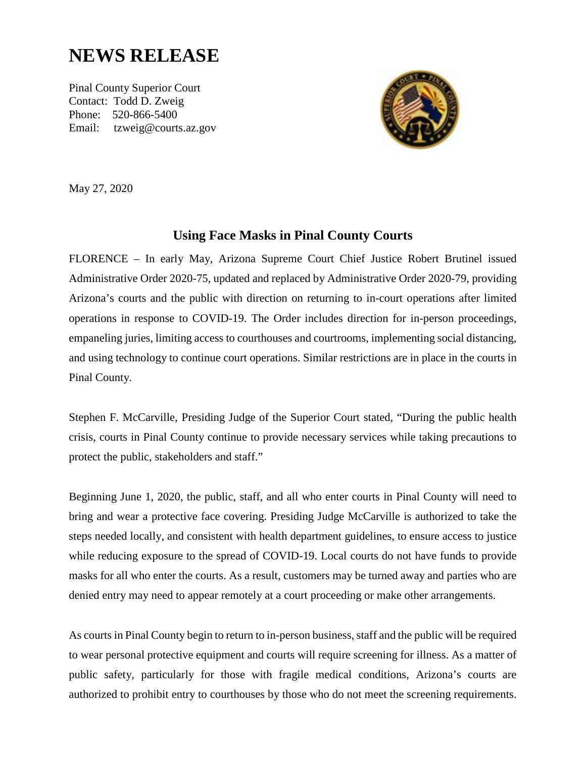## **NEWS RELEASE**

Pinal County Superior Court Contact: Todd D. Zweig Phone: 520-866-5400 Email: tzweig@courts.az.gov



May 27, 2020

## **Using Face Masks in Pinal County Courts**

FLORENCE – In early May, Arizona Supreme Court Chief Justice Robert Brutinel issued Administrative Order 2020-75, updated and replaced by Administrative Order 2020-79, providing Arizona's courts and the public with direction on returning to in-court operations after limited operations in response to COVID-19. The Order includes direction for in-person proceedings, empaneling juries, limiting access to courthouses and courtrooms, implementing social distancing, and using technology to continue court operations. Similar restrictions are in place in the courts in Pinal County.

Stephen F. McCarville, Presiding Judge of the Superior Court stated, "During the public health crisis, courts in Pinal County continue to provide necessary services while taking precautions to protect the public, stakeholders and staff."

Beginning June 1, 2020, the public, staff, and all who enter courts in Pinal County will need to bring and wear a protective face covering. Presiding Judge McCarville is authorized to take the steps needed locally, and consistent with health department guidelines, to ensure access to justice while reducing exposure to the spread of COVID-19. Local courts do not have funds to provide masks for all who enter the courts. As a result, customers may be turned away and parties who are denied entry may need to appear remotely at a court proceeding or make other arrangements.

As courts in Pinal County begin to return to in-person business, staff and the public will be required to wear personal protective equipment and courts will require screening for illness. As a matter of public safety, particularly for those with fragile medical conditions, Arizona's courts are authorized to prohibit entry to courthouses by those who do not meet the screening requirements.